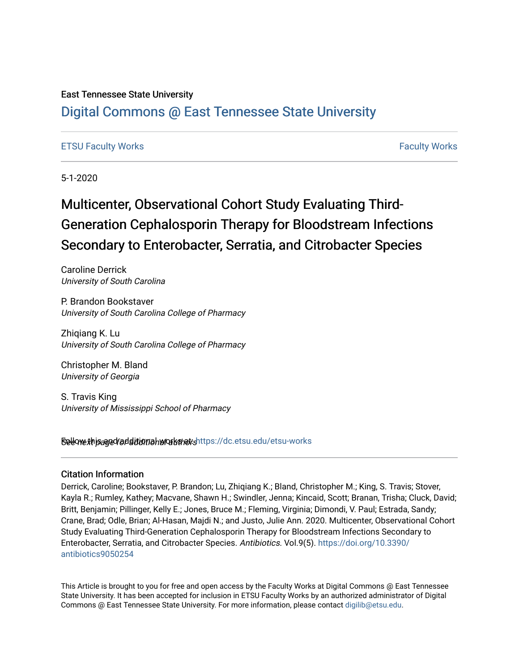## East Tennessee State University

## [Digital Commons @ East Tennessee State University](https://dc.etsu.edu/)

## [ETSU Faculty Works](https://dc.etsu.edu/etsu-works) [Faculty Works](https://dc.etsu.edu/faculty-works)

5-1-2020

# Multicenter, Observational Cohort Study Evaluating Third-Generation Cephalosporin Therapy for Bloodstream Infections Secondary to Enterobacter, Serratia, and Citrobacter Species

Caroline Derrick University of South Carolina

P. Brandon Bookstaver University of South Carolina College of Pharmacy

Zhiqiang K. Lu University of South Carolina College of Pharmacy

Christopher M. Bland University of Georgia

S. Travis King University of Mississippi School of Pharmacy

Sellow this ane dradditional works for althors://dc.etsu.edu/etsu-works

## Citation Information

Derrick, Caroline; Bookstaver, P. Brandon; Lu, Zhiqiang K.; Bland, Christopher M.; King, S. Travis; Stover, Kayla R.; Rumley, Kathey; Macvane, Shawn H.; Swindler, Jenna; Kincaid, Scott; Branan, Trisha; Cluck, David; Britt, Benjamin; Pillinger, Kelly E.; Jones, Bruce M.; Fleming, Virginia; Dimondi, V. Paul; Estrada, Sandy; Crane, Brad; Odle, Brian; Al-Hasan, Majdi N.; and Justo, Julie Ann. 2020. Multicenter, Observational Cohort Study Evaluating Third-Generation Cephalosporin Therapy for Bloodstream Infections Secondary to Enterobacter, Serratia, and Citrobacter Species. Antibiotics. Vol.9(5). [https://doi.org/10.3390/](https://doi.org/10.3390/antibiotics9050254) [antibiotics9050254](https://doi.org/10.3390/antibiotics9050254) 

This Article is brought to you for free and open access by the Faculty Works at Digital Commons @ East Tennessee State University. It has been accepted for inclusion in ETSU Faculty Works by an authorized administrator of Digital Commons @ East Tennessee State University. For more information, please contact [digilib@etsu.edu.](mailto:digilib@etsu.edu)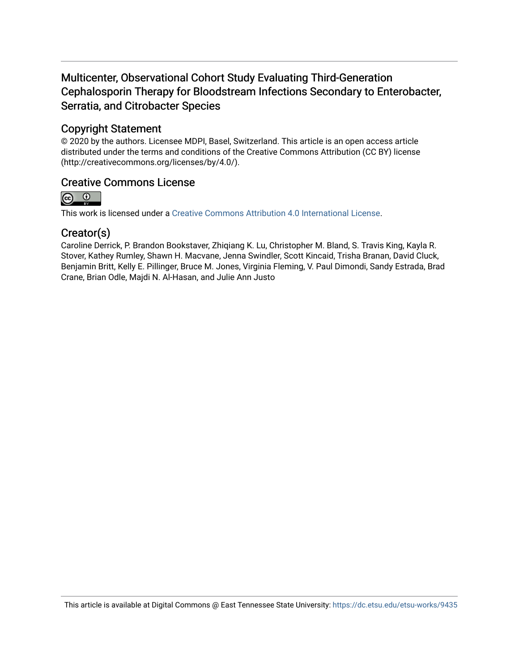## Multicenter, Observational Cohort Study Evaluating Third-Generation Cephalosporin Therapy for Bloodstream Infections Secondary to Enterobacter, Serratia, and Citrobacter Species

## Copyright Statement

© 2020 by the authors. Licensee MDPI, Basel, Switzerland. This article is an open access article distributed under the terms and conditions of the Creative Commons Attribution (CC BY) license (http://creativecommons.org/licenses/by/4.0/).

## Creative Commons License



This work is licensed under a [Creative Commons Attribution 4.0 International License.](https://creativecommons.org/licenses/by/4.0/)

## Creator(s)

Caroline Derrick, P. Brandon Bookstaver, Zhiqiang K. Lu, Christopher M. Bland, S. Travis King, Kayla R. Stover, Kathey Rumley, Shawn H. Macvane, Jenna Swindler, Scott Kincaid, Trisha Branan, David Cluck, Benjamin Britt, Kelly E. Pillinger, Bruce M. Jones, Virginia Fleming, V. Paul Dimondi, Sandy Estrada, Brad Crane, Brian Odle, Majdi N. Al-Hasan, and Julie Ann Justo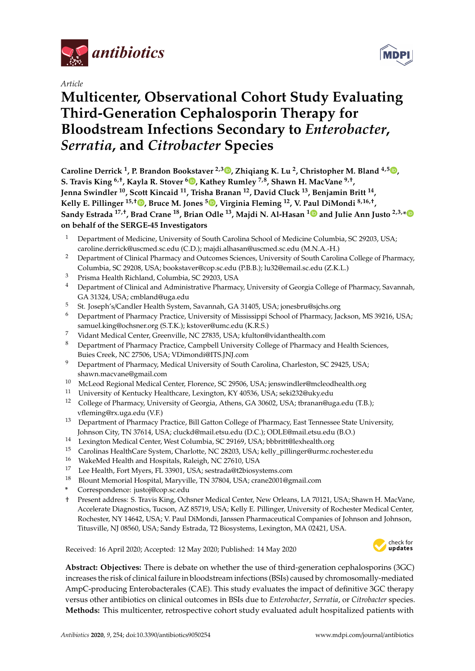

*Article*

# **Multicenter, Observational Cohort Study Evaluating Third-Generation Cephalosporin Therapy for Bloodstream Infections Secondary to** *Enterobacter***,** *Serratia***, and** *Citrobacter* **Species**

**Caroline Derrick <sup>1</sup> , P. Brandon Bookstaver 2,3 [,](https://orcid.org/0000-0002-4409-0963) Zhiqiang K. Lu <sup>2</sup> , Christopher M. Bland 4,5 [,](https://orcid.org/0000-0001-8806-4583) S. Travis King 6,**† **, Kayla R. Stover <sup>6</sup> [,](https://orcid.org/0000-0002-8635-0137) Kathey Rumley 7,8, Shawn H. MacVane 9,**† **, Jenna Swindler <sup>10</sup>, Scott Kincaid <sup>11</sup>, Trisha Branan <sup>12</sup>, David Cluck <sup>13</sup>, Benjamin Britt <sup>14</sup> , Kelly E. Pillinger 15,**† **[,](https://orcid.org/0000-0003-2697-886X) Bruce M. Jones <sup>5</sup> [,](https://orcid.org/0000-0003-0461-2365) Virginia Fleming <sup>12</sup>, V. Paul DiMondi 8,16,**† **, Sandy Estrada 17,**† **, Brad Crane <sup>18</sup>, Brian Odle <sup>13</sup>, Majdi N. Al-Hasan [1](https://orcid.org/0000-0001-6501-492X) and Julie Ann Justo 2,3,[\\*](https://orcid.org/0000-0002-4161-9577) on behalf of the SERGE-45 Investigators**

- <sup>1</sup> Department of Medicine, University of South Carolina School of Medicine Columbia, SC 29203, USA; caroline.derrick@uscmed.sc.edu (C.D.); majdi.alhasan@uscmed.sc.edu (M.N.A.-H.)
- <sup>2</sup> Department of Clinical Pharmacy and Outcomes Sciences, University of South Carolina College of Pharmacy, Columbia, SC 29208, USA; bookstaver@cop.sc.edu (P.B.B.); lu32@email.sc.edu (Z.K.L.)
- <sup>3</sup> Prisma Health Richland, Columbia, SC 29203, USA
- <sup>4</sup> Department of Clinical and Administrative Pharmacy, University of Georgia College of Pharmacy, Savannah, GA 31324, USA; cmbland@uga.edu
- <sup>5</sup> St. Joseph's/Candler Health System, Savannah, GA 31405, USA; jonesbru@sjchs.org
- <sup>6</sup> Department of Pharmacy Practice, University of Mississippi School of Pharmacy, Jackson, MS 39216, USA; samuel.king@ochsner.org (S.T.K.); kstover@umc.edu (K.R.S.)
- <sup>7</sup> Vidant Medical Center, Greenville, NC 27835, USA; kfulton@vidanthealth.com
- <sup>8</sup> Department of Pharmacy Practice, Campbell University College of Pharmacy and Health Sciences, Buies Creek, NC 27506, USA; VDimondi@ITS.JNJ.com
- <sup>9</sup> Department of Pharmacy, Medical University of South Carolina, Charleston, SC 29425, USA; shawn.macvane@gmail.com
- 10 McLeod Regional Medical Center, Florence, SC 29506, USA; jenswindler@mcleodhealth.org<br>11 University of Kantasha Uselth age, Javinatan, KY 40526, USA saki332@shaody
- <sup>11</sup> University of Kentucky Healthcare, Lexington, KY 40536, USA; seki232@uky.edu
- <sup>12</sup> College of Pharmacy, University of Georgia, Athens, GA 30602, USA; tbranan@uga.edu (T.B.); vfleming@rx.uga.edu (V.F.)
- <sup>13</sup> Department of Pharmacy Practice, Bill Gatton College of Pharmacy, East Tennessee State University, Johnson City, TN 37614, USA; cluckd@mail.etsu.edu (D.C.); ODLE@mail.etsu.edu (B.O.)
- <sup>14</sup> Lexington Medical Center, West Columbia, SC 29169, USA; bbbritt@lexhealth.org
- 15 Carolinas HealthCare System, Charlotte, NC 28203, USA; kelly\_pillinger@urmc.rochester.edu<br>16 MakeMed Health and Heapitals Raleigh NC 27610 115A
- <sup>16</sup> WakeMed Health and Hospitals, Raleigh, NC 27610, USA
- <sup>17</sup> Lee Health, Fort Myers, FL 33901, USA; sestrada@t2biosystems.com
- <sup>18</sup> Blount Memorial Hospital, Maryville, TN 37804, USA; crane2001@gmail.com
- **\*** Correspondence: justoj@cop.sc.edu
- † Present address: S. Travis King, Ochsner Medical Center, New Orleans, LA 70121, USA; Shawn H. MacVane, Accelerate Diagnostics, Tucson, AZ 85719, USA; Kelly E. Pillinger, University of Rochester Medical Center, Rochester, NY 14642, USA; V. Paul DiMondi, Janssen Pharmaceutical Companies of Johnson and Johnson, Titusville, NJ 08560, USA; Sandy Estrada, T2 Biosystems, Lexington, MA 02421, USA.

Received: 16 April 2020; Accepted: 12 May 2020; Published: 14 May 2020



**Abstract: Objectives:** There is debate on whether the use of third-generation cephalosporins (3GC) increases the risk of clinical failure in bloodstream infections (BSIs) caused by chromosomally-mediated AmpC-producing Enterobacterales (CAE). This study evaluates the impact of definitive 3GC therapy versus other antibiotics on clinical outcomes in BSIs due to *Enterobacter*, *Serratia*, or *Citrobacter* species. **Methods:** This multicenter, retrospective cohort study evaluated adult hospitalized patients with

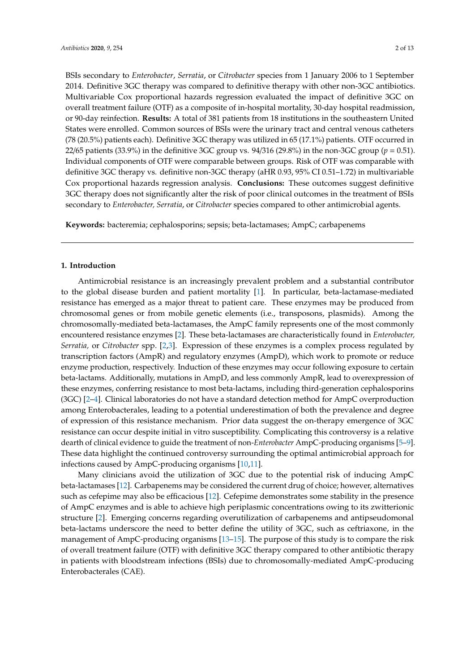BSIs secondary to *Enterobacter*, *Serratia*, or *Citrobacter* species from 1 January 2006 to 1 September 2014. Definitive 3GC therapy was compared to definitive therapy with other non-3GC antibiotics. Multivariable Cox proportional hazards regression evaluated the impact of definitive 3GC on overall treatment failure (OTF) as a composite of in-hospital mortality, 30-day hospital readmission, or 90-day reinfection. **Results:** A total of 381 patients from 18 institutions in the southeastern United States were enrolled. Common sources of BSIs were the urinary tract and central venous catheters (78 (20.5%) patients each). Definitive 3GC therapy was utilized in 65 (17.1%) patients. OTF occurred in 22/65 patients (33.9%) in the definitive 3GC group vs. 94/316 (29.8%) in the non-3GC group (*p* = 0.51). Individual components of OTF were comparable between groups. Risk of OTF was comparable with definitive 3GC therapy vs. definitive non-3GC therapy (aHR 0.93, 95% CI 0.51–1.72) in multivariable Cox proportional hazards regression analysis. **Conclusions:** These outcomes suggest definitive 3GC therapy does not significantly alter the risk of poor clinical outcomes in the treatment of BSIs secondary to *Enterobacter, Serratia*, or *Citrobacter* species compared to other antimicrobial agents.

**Keywords:** bacteremia; cephalosporins; sepsis; beta-lactamases; AmpC; carbapenems

## **1. Introduction**

Antimicrobial resistance is an increasingly prevalent problem and a substantial contributor to the global disease burden and patient mortality [\[1\]](#page-12-0). In particular, beta-lactamase-mediated resistance has emerged as a major threat to patient care. These enzymes may be produced from chromosomal genes or from mobile genetic elements (i.e., transposons, plasmids). Among the chromosomally-mediated beta-lactamases, the AmpC family represents one of the most commonly encountered resistance enzymes [\[2\]](#page-12-1). These beta-lactamases are characteristically found in *Enterobacter, Serratia,* or *Citrobacter* spp. [\[2,](#page-12-1)[3\]](#page-13-0). Expression of these enzymes is a complex process regulated by transcription factors (AmpR) and regulatory enzymes (AmpD), which work to promote or reduce enzyme production, respectively. Induction of these enzymes may occur following exposure to certain beta-lactams. Additionally, mutations in AmpD, and less commonly AmpR, lead to overexpression of these enzymes, conferring resistance to most beta-lactams, including third-generation cephalosporins (3GC) [\[2–](#page-12-1)[4\]](#page-13-1). Clinical laboratories do not have a standard detection method for AmpC overproduction among Enterobacterales, leading to a potential underestimation of both the prevalence and degree of expression of this resistance mechanism. Prior data suggest the on-therapy emergence of 3GC resistance can occur despite initial in vitro susceptibility. Complicating this controversy is a relative dearth of clinical evidence to guide the treatment of non-*Enterobacter* AmpC-producing organisms [\[5–](#page-13-2)[9\]](#page-13-3). These data highlight the continued controversy surrounding the optimal antimicrobial approach for infections caused by AmpC-producing organisms [\[10,](#page-13-4)[11\]](#page-13-5).

Many clinicians avoid the utilization of 3GC due to the potential risk of inducing AmpC beta-lactamases [\[12\]](#page-13-6). Carbapenems may be considered the current drug of choice; however, alternatives such as cefepime may also be efficacious [\[12\]](#page-13-6). Cefepime demonstrates some stability in the presence of AmpC enzymes and is able to achieve high periplasmic concentrations owing to its zwitterionic structure [\[2\]](#page-12-1). Emerging concerns regarding overutilization of carbapenems and antipseudomonal beta-lactams underscore the need to better define the utility of 3GC, such as ceftriaxone, in the management of AmpC-producing organisms [\[13–](#page-13-7)[15\]](#page-13-8). The purpose of this study is to compare the risk of overall treatment failure (OTF) with definitive 3GC therapy compared to other antibiotic therapy in patients with bloodstream infections (BSIs) due to chromosomally-mediated AmpC-producing Enterobacterales (CAE).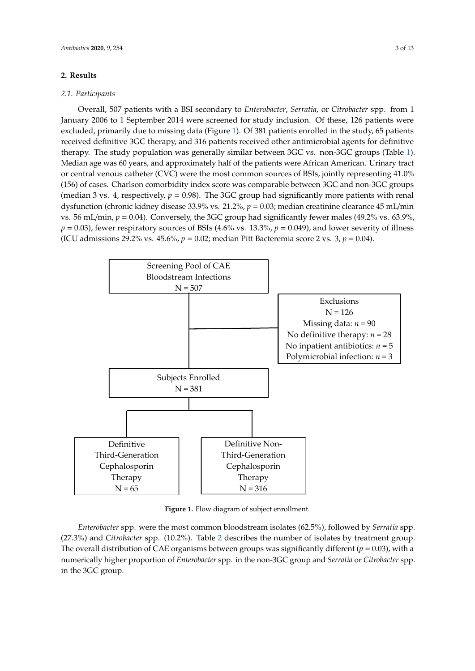## **2.** Results

#### *2.1. Participants* Overall, 507 patients with a BSI secondary to *Enterobacter*, *Serratia,* or *Citrobacter* spp. from 1

Overall, 507 patients with a BSI secondary to *Enterobacter*, *Serratia*, or *Citrobacter* spp. from 1 January 2006 to 1 September 2014 were screened for study inclusion. Of these, 126 patients were excluded, primarily due to missing data (Figure 1). Of 381 patien[ts](#page-4-0) enrolled in the study, 65 patients received definitive 3GC therapy, and 316 patients received other antimicrobial agents for definitive therapy. The study population was generally similar between 3GC vs. non-3GC groups (Table [1\)](#page-5-0).<br>Median and all of the patients were all all of the patients were African American Median American American Ame Median age was 60 years, and approximately half of the patients were African American. Urinary tract or central venous catheter (CVC) were the most common sources of BSIs, jointly representing 41.0% (156) of cases. Charlson comorbidity index score was comparable between 3GC and non-3GC groups (median 3 vs. 4, respectively,  $p = 0.98$ ). The 3GC group had significantly more patients with renal dysfunction (chronic kidney disease 33.9% vs. 21.2%,  $p = 0.03$ ; median creatinine clearance 45 mL/min vs. 56 mL/min,  $p = 0.04$ ). Conversely, the 3GC group had significantly fewer males (49.2% vs. 63.9%,  $p = 0.03$ ), fewer respiratory sources of BSIs (4.6% vs. 13.3%,  $p = 0.049$ ), and lower severity of illness (ICU admissions 29.2% vs. 45.6%,  $p = 0.02$ ; median Pitt Bacteremia score 2 vs. 3,  $p = 0.04$ ).

<span id="page-4-0"></span>

**Figure 1.** Flow diagram of subject enrollment. **Figure 1.** Flow diagram of subject enrollment.

*Enterobacter* spp. were the most common bloodstream isolates (62.5%), followed by *Serratia* spp. ([2](#page-5-1)7.3%) and *Citrobacter* spp. (10.2%). Table 2 describes the number of isolates by treatment group.<br>  $\Gamma$ **Characteristic**  in the 3GC group.numerically higher proportion of *Enterobacter* spp. in the non-3GC group and *Serratia* or *Citrobacter* spp.<br>. The overall distribution of CAE organisms between groups was significantly different ( $p = 0.03$ ), with a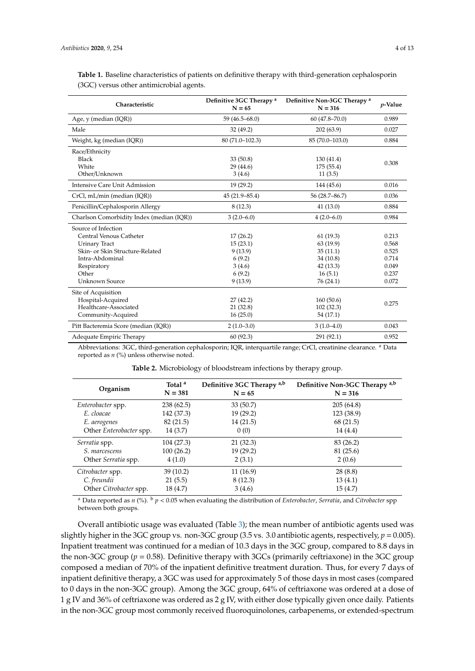| Characteristic                            | Definitive 3GC Therapy <sup>a</sup><br>$N = 65$ | Definitive Non-3GC Therapy <sup>a</sup><br>$N = 316$ | <i>p</i> -Value |
|-------------------------------------------|-------------------------------------------------|------------------------------------------------------|-----------------|
| Age, y (median (IQR))                     | $59(46.5 - 68.0)$                               | $60(47.8 - 70.0)$                                    | 0.989           |
| Male                                      | 32 (49.2)                                       | 202(63.9)                                            | 0.027           |
| Weight, kg (median (IQR))                 | $80(71.0-102.3)$                                | 85 (70.0-103.0)                                      | 0.884           |
| Race/Ethnicity                            |                                                 |                                                      |                 |
| Black                                     | 33(50.8)                                        | 130 (41.4)                                           | 0.308           |
| White                                     | 29 (44.6)                                       | 175 (55.4)                                           |                 |
| Other/Unknown                             | 3(4.6)                                          | 11(3.5)                                              |                 |
| Intensive Care Unit Admission             | 19(29.2)                                        | 144 (45.6)                                           | 0.016           |
| CrCl, mL/min (median (IQR))               | $45(21.9 - 85.4)$                               | 56 (28.7-86.7)                                       | 0.036           |
| Penicillin/Cephalosporin Allergy          | 8(12.3)                                         | 41(13.0)                                             | 0.884           |
| Charlson Comorbidity Index (median (IQR)) | $3(2.0-6.0)$                                    | $4(2.0-6.0)$                                         | 0.984           |
| Source of Infection                       |                                                 |                                                      |                 |
| Central Venous Catheter                   | 17(26.2)                                        | 61(19.3)                                             | 0.213           |
| <b>Urinary Tract</b>                      | 15(23.1)                                        | 63 (19.9)                                            | 0.568           |
| Skin- or Skin Structure-Related           | 9(13.9)                                         | 35(11.1)                                             | 0.525           |
| Intra-Abdominal                           | 6(9.2)                                          | 34 (10.8)                                            | 0.714           |
| Respiratory                               | 3(4.6)                                          | 42 (13.3)                                            | 0.049           |
| Other                                     | 6(9.2)                                          | 16(5.1)                                              | 0.237           |
| <b>Unknown Source</b>                     | 9(13.9)                                         | 76 (24.1)                                            | 0.072           |
| Site of Acquisition                       |                                                 |                                                      |                 |
| Hospital-Acquired                         | 27(42.2)                                        | 160(50.6)                                            | 0.275           |
| Healthcare-Associated                     | 21(32.8)                                        | 102 (32.3)                                           |                 |
| Community-Acquired                        | 16(25.0)                                        | 54 (17.1)                                            |                 |
| Pitt Bacteremia Score (median (IQR))      | $2(1.0-3.0)$                                    | $3(1.0-4.0)$                                         | 0.043           |
| Adequate Empiric Therapy                  | 60(92.3)                                        | 291 (92.1)                                           | 0.952           |

<span id="page-5-0"></span>**Table 1.** Baseline characteristics of patients on definitive therapy with third-generation cephalosporin (3GC) versus other antimicrobial agents.

<span id="page-5-1"></span>Abbreviations: 3GC, third-generation cephalosporin; IQR, interquartile range; CrCl, creatinine clearance. <sup>a</sup> Data reported as *n* (%) unless otherwise noted.

|  |  |  |  |  |  | <b>Table 2.</b> Microbiology of bloodstream infections by therapy group. |  |  |  |  |  |  |
|--|--|--|--|--|--|--------------------------------------------------------------------------|--|--|--|--|--|--|
|--|--|--|--|--|--|--------------------------------------------------------------------------|--|--|--|--|--|--|

| Organism                | Total <sup>a</sup><br>$N = 381$ | Definitive 3GC Therapy <sup>a,b</sup><br>$N = 65$ | Definitive Non-3GC Therapy <sup>a,b</sup><br>$N = 316$ |
|-------------------------|---------------------------------|---------------------------------------------------|--------------------------------------------------------|
| Enterobacter spp.       | 238(62.5)                       | 33(50.7)                                          | 205(64.8)                                              |
| E. cloacae              | 142 (37.3)                      | 19(29.2)                                          | 123 (38.9)                                             |
| E. aerogenes            | 82(21.5)                        | 14(21.5)                                          | 68 (21.5)                                              |
| Other Enterobacter spp. | 14(3.7)                         | 0(0)                                              | 14(4.4)                                                |
| Serratia spp.           | 104(27.3)                       | 21(32.3)                                          | 83 (26.2)                                              |
| S. marcescens           | 100(26.2)                       | 19(29.2)                                          | 81 (25.6)                                              |
| Other Serratia spp.     | 4(1.0)                          | 2(3.1)                                            | 2(0.6)                                                 |
| Citrobacter spp.        | 39(10.2)                        | 11(16.9)                                          | 28(8.8)                                                |
| C. freundii             | 21(5.5)                         | 8(12.3)                                           | 13(4.1)                                                |
| Other Citrobacter spp.  | 18 (4.7)                        | 3(4.6)                                            | 15(4.7)                                                |

<sup>a</sup> Data reported as *n* (%). <sup>b</sup> *p* < 0.05 when evaluating the distribution of *Enterobacter*, *Serratia*, and *Citrobacter* spp between both groups.

Overall antibiotic usage was evaluated (Table [3\)](#page-6-0); the mean number of antibiotic agents used was slightly higher in the 3GC group vs. non-3GC group (3.5 vs. 3.0 antibiotic agents, respectively, *p* = 0.005). Inpatient treatment was continued for a median of 10.3 days in the 3GC group, compared to 8.8 days in the non-3GC group ( $p = 0.58$ ). Definitive therapy with 3GCs (primarily ceftriaxone) in the 3GC group composed a median of 70% of the inpatient definitive treatment duration. Thus, for every 7 days of inpatient definitive therapy, a 3GC was used for approximately 5 of those days in most cases (compared to 0 days in the non-3GC group). Among the 3GC group, 64% of ceftriaxone was ordered at a dose of 1 g IV and 36% of ceftriaxone was ordered as 2 g IV, with either dose typically given once daily. Patients in the non-3GC group most commonly received fluoroquinolones, carbapenems, or extended-spectrum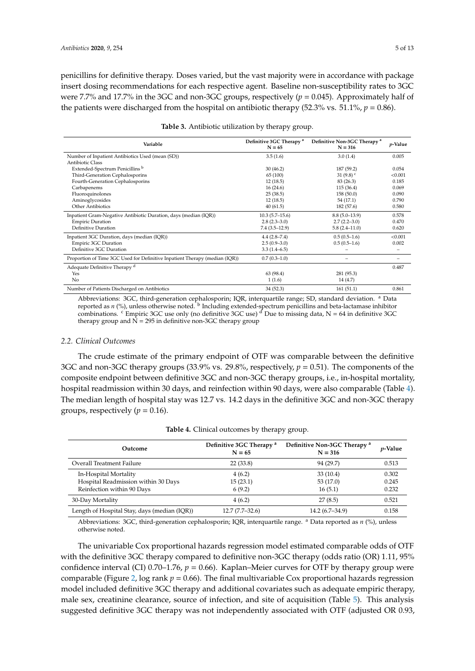penicillins for definitive therapy. Doses varied, but the vast majority were in accordance with package insert dosing recommendations for each respective agent. Baseline non-susceptibility rates to 3GC were 7.7% and 17.7% in the 3GC and non-3GC groups, respectively (*p* = 0.045). Approximately half of the patients were discharged from the hospital on antibiotic therapy  $(52.3\% \text{ vs. } 51.1\%, p = 0.86)$ .

<span id="page-6-0"></span>

| Variable                                                                    | Definitive 3GC Therapy <sup>a</sup><br>$N = 65$ | Definitive Non-3GC Therapy <sup>a</sup><br>$N = 316$ | <i>p</i> -Value |
|-----------------------------------------------------------------------------|-------------------------------------------------|------------------------------------------------------|-----------------|
| Number of Inpatient Antibiotics Used (mean (SD))                            | 3.5(1.6)                                        | 3.0(1.4)                                             | 0.005           |
| <b>Antibiotic Class</b>                                                     |                                                 |                                                      |                 |
| Extended-Spectrum Penicillins <sup>b</sup>                                  | 30(46.2)                                        | 187 (59.2)                                           | 0.054           |
| Third-Generation Cephalosporins                                             | 65 (100)                                        | 31 $(9.8)^c$                                         | < 0.001         |
| Fourth-Generation Cephalosporins                                            | 12(18.5)                                        | 83(26.3)                                             | 0.185           |
| Carbapenems                                                                 | 16(24.6)                                        | 115(36.4)                                            | 0.069           |
| Fluoroquinolones                                                            | 25(38.5)                                        | 158 (50.0)                                           | 0.090           |
| Aminoglycosides                                                             | 12(18.5)                                        | 54 (17.1)                                            | 0.790           |
| <b>Other Antibiotics</b>                                                    | 40(61.5)                                        | 182 (57.6)                                           | 0.580           |
| Inpatient Gram-Negative Antibiotic Duration, days (median (IQR))            | $10.3(5.7-15.6)$                                | $8.8(5.0-13.9)$                                      | 0.578           |
| <b>Empiric Duration</b>                                                     | $2.8(2.3-3.0)$                                  | $2.7(2.2 - 3.0)$                                     | 0.470           |
| Definitive Duration                                                         | $7.4(3.5-12.9)$                                 | $5.8(2.4-11.0)$                                      | 0.620           |
| Inpatient 3GC Duration, days (median (IQR))                                 | $4.4(2.8 - 7.4)$                                | $0.5(0.5-1.6)$                                       | < 0.001         |
| <b>Empiric 3GC Duration</b>                                                 | $2.5(0.9-3.0)$                                  | $0.5(0.5-1.6)$                                       | 0.002           |
| Definitive 3GC Duration                                                     | $3.3(1.4-6.5)$                                  |                                                      |                 |
| Proportion of Time 3GC Used for Definitive Inpatient Therapy (median (IQR)) | $0.7(0.3-1.0)$                                  |                                                      |                 |
| Adequate Definitive Therapy d                                               |                                                 |                                                      | 0.487           |
| Yes                                                                         | 63 (98.4)                                       | 281 (95.3)                                           |                 |
| No                                                                          | 1(1.6)                                          | 14 (4.7)                                             |                 |
| Number of Patients Discharged on Antibiotics                                | 34(52.3)                                        | 161(51.1)                                            | 0.861           |

|  | Table 3. Antibiotic utilization by therapy group. |  |  |
|--|---------------------------------------------------|--|--|
|  |                                                   |  |  |

Abbreviations: 3GC, third-generation cephalosporin; IQR, interquartile range; SD, standard deviation. <sup>a</sup> Data reported as *n* (%), unless otherwise noted. <sup>b</sup> Including extended-spectrum penicillins and beta-lactamase inhibitor combinations.  $\epsilon$  Empiric 3GC use only (no definitive 3GC use)  $\epsilon$  Due to missing data, N = 64 in definitive 3GC therapy group and  $N = 295$  in definitive non-3GC therapy group

## *2.2. Clinical Outcomes*

The crude estimate of the primary endpoint of OTF was comparable between the definitive 3GC and non-3GC therapy groups (33.9% vs. 29.8%, respectively, *p* = 0.51). The components of the composite endpoint between definitive 3GC and non-3GC therapy groups, i.e., in-hospital mortality, hospital readmission within 30 days, and reinfection within 90 days, were also comparable (Table [4\)](#page-6-1). The median length of hospital stay was 12.7 vs. 14.2 days in the definitive 3GC and non-3GC therapy groups, respectively ( $p = 0.16$ ).

<span id="page-6-1"></span>

| Outcome                                      | Definitive 3GC Therapy <sup>a</sup><br>$N = 65$ | Definitive Non-3GC Therapy <sup>a</sup><br>$N = 316$ | $p$ -Value |  |
|----------------------------------------------|-------------------------------------------------|------------------------------------------------------|------------|--|
| Overall Treatment Failure                    | 22(33.8)                                        | 94 (29.7)                                            | 0.513      |  |
| In-Hospital Mortality                        | 4(6.2)                                          | 33(10.4)                                             | 0.302      |  |
| Hospital Readmission within 30 Days          | 15(23.1)                                        | 53 (17.0)                                            | 0.245      |  |
| Reinfection within 90 Days                   | 6(9.2)                                          | 16(5.1)                                              | 0.232      |  |
| 30-Day Mortality                             | 4(6.2)                                          | 27(8.5)                                              | 0.521      |  |
| Length of Hospital Stay, days (median (IQR)) | $12.7(7.7-32.6)$                                | $14.2(6.7-34.9)$                                     | 0.158      |  |

| <b>Table 4.</b> Clinical outcomes by therapy group. |  |  |  |
|-----------------------------------------------------|--|--|--|
|-----------------------------------------------------|--|--|--|

Abbreviations: 3GC, third-generation cephalosporin; IQR, interquartile range. <sup>a</sup> Data reported as *n* (%), unless otherwise noted.

The univariable Cox proportional hazards regression model estimated comparable odds of OTF with the definitive 3GC therapy compared to definitive non-3GC therapy (odds ratio (OR) 1.11, 95% confidence interval (CI)  $0.70-1.76$ ,  $p = 0.66$ ). Kaplan–Meier curves for OTF by therapy group were comparable (Figure [2,](#page-8-0) log rank  $p = 0.66$ ). The final multivariable Cox proportional hazards regression model included definitive 3GC therapy and additional covariates such as adequate empiric therapy, male sex, creatinine clearance, source of infection, and site of acquisition (Table [5\)](#page-7-0). This analysis suggested definitive 3GC therapy was not independently associated with OTF (adjusted OR 0.93,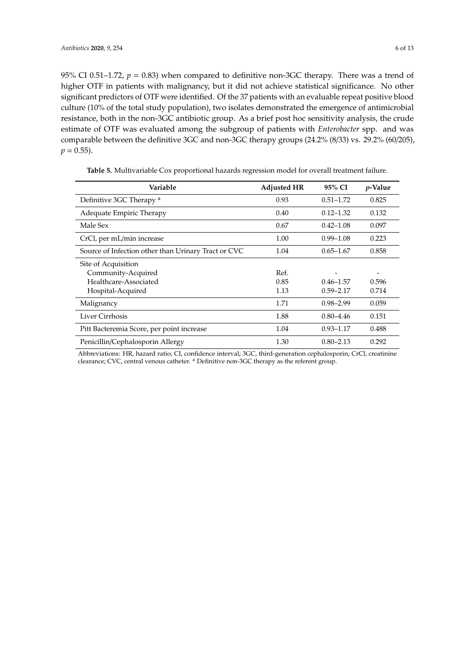95% CI 0.51–1.72,  $p = 0.83$ ) when compared to definitive non-3GC therapy. There was a trend of higher OTF in patients with malignancy, but it did not achieve statistical significance. No other significant predictors of OTF were identified. Of the 37 patients with an evaluable repeat positive blood culture (10% of the total study population), two isolates demonstrated the emergence of antimicrobial resistance, both in the non-3GC antibiotic group. As a brief post hoc sensitivity analysis, the crude estimate of OTF was evaluated among the subgroup of patients with *Enterobacter* spp. and was comparable between the definitive 3GC and non-3GC therapy groups (24.2% (8/33) vs. 29.2% (60/205),  $p = 0.55$ ).

<span id="page-7-0"></span>

| Variable                                            | <b>Adjusted HR</b> | 95% CI        | <i>p</i> -Value |
|-----------------------------------------------------|--------------------|---------------|-----------------|
| Definitive 3GC Therapy <sup>a</sup>                 | 0.93               | $0.51 - 1.72$ | 0.825           |
| Adequate Empiric Therapy                            | 0.40               | $0.12 - 1.32$ | 0.132           |
| Male Sex                                            | 0.67               | $0.42 - 1.08$ | 0.097           |
| CrCl, per mL/min increase                           | 1.00               | $0.99 - 1.08$ | 0.223           |
| Source of Infection other than Urinary Tract or CVC | 1.04               | $0.65 - 1.67$ | 0.858           |
| Site of Acquisition                                 |                    |               |                 |
| Community-Acquired                                  | Ref.               |               |                 |
| Healthcare-Associated                               | 0.85               | $0.46 - 1.57$ | 0.596           |
| Hospital-Acquired                                   | 1.13               | $0.59 - 2.17$ | 0.714           |
| Malignancy                                          | 1.71               | $0.98 - 2.99$ | 0.059           |
| Liver Cirrhosis                                     | 1.88               | $0.80 - 4.46$ | 0.151           |
| Pitt Bacteremia Score, per point increase           | 1.04               | $0.93 - 1.17$ | 0.488           |
| Penicillin/Cephalosporin Allergy                    | 1.30               | $0.80 - 2.13$ | 0.292           |

**Table 5.** Multivariable Cox proportional hazards regression model for overall treatment failure.

Abbreviations: HR, hazard ratio; CI, confidence interval; 3GC, third-generation cephalosporin; CrCl, creatinine clearance; CVC, central venous catheter. <sup>a</sup> Definitive non-3GC therapy as the referent group.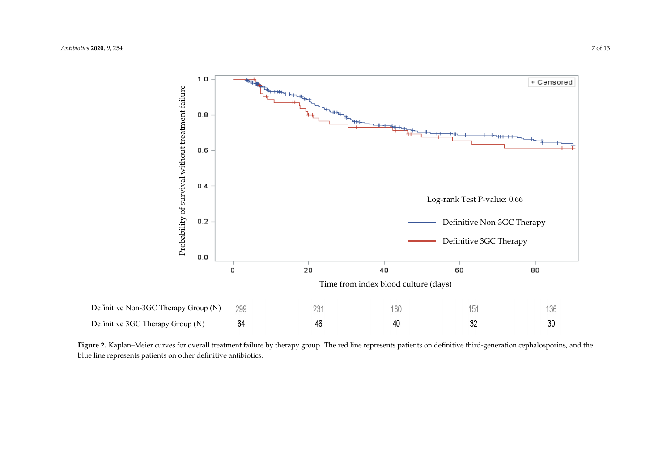

<span id="page-8-0"></span>**Figure 2.** Kaplan–Meier curves for overall treatment failure by therapy group. The red line represents patients on definitive third-generation cephalosporins, and the the blue line represents patients on other definitive antibiotics. blue line represents patients on other definitive antibiotics.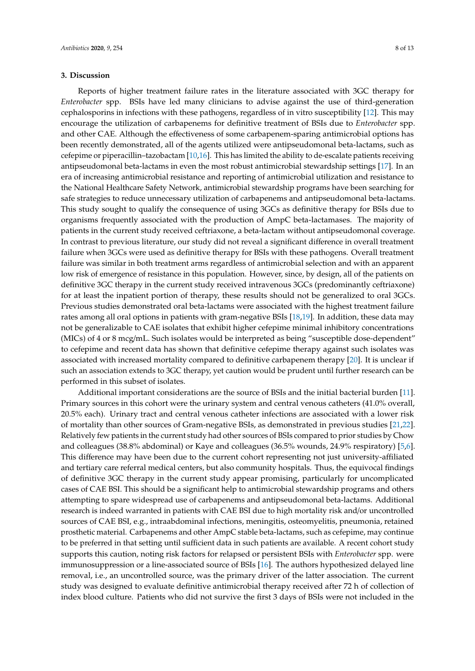## **3. Discussion**

Reports of higher treatment failure rates in the literature associated with 3GC therapy for *Enterobacter* spp. BSIs have led many clinicians to advise against the use of third-generation cephalosporins in infections with these pathogens, regardless of in vitro susceptibility [\[12\]](#page-13-6). This may encourage the utilization of carbapenems for definitive treatment of BSIs due to *Enterobacter* spp. and other CAE. Although the effectiveness of some carbapenem-sparing antimicrobial options has been recently demonstrated, all of the agents utilized were antipseudomonal beta-lactams, such as cefepime or piperacillin–tazobactam [\[10,](#page-13-4)[16\]](#page-13-9). This has limited the ability to de-escalate patients receiving antipseudomonal beta-lactams in even the most robust antimicrobial stewardship settings [\[17\]](#page-13-10). In an era of increasing antimicrobial resistance and reporting of antimicrobial utilization and resistance to the National Healthcare Safety Network, antimicrobial stewardship programs have been searching for safe strategies to reduce unnecessary utilization of carbapenems and antipseudomonal beta-lactams. This study sought to qualify the consequence of using 3GCs as definitive therapy for BSIs due to organisms frequently associated with the production of AmpC beta-lactamases. The majority of patients in the current study received ceftriaxone, a beta-lactam without antipseudomonal coverage. In contrast to previous literature, our study did not reveal a significant difference in overall treatment failure when 3GCs were used as definitive therapy for BSIs with these pathogens. Overall treatment failure was similar in both treatment arms regardless of antimicrobial selection and with an apparent low risk of emergence of resistance in this population. However, since, by design, all of the patients on definitive 3GC therapy in the current study received intravenous 3GCs (predominantly ceftriaxone) for at least the inpatient portion of therapy, these results should not be generalized to oral 3GCs. Previous studies demonstrated oral beta-lactams were associated with the highest treatment failure rates among all oral options in patients with gram-negative BSIs [\[18,](#page-13-11)[19\]](#page-13-12). In addition, these data may not be generalizable to CAE isolates that exhibit higher cefepime minimal inhibitory concentrations (MICs) of 4 or 8 mcg/mL. Such isolates would be interpreted as being "susceptible dose-dependent" to cefepime and recent data has shown that definitive cefepime therapy against such isolates was associated with increased mortality compared to definitive carbapenem therapy [\[20\]](#page-14-0). It is unclear if such an association extends to 3GC therapy, yet caution would be prudent until further research can be performed in this subset of isolates.

Additional important considerations are the source of BSIs and the initial bacterial burden [\[11\]](#page-13-5). Primary sources in this cohort were the urinary system and central venous catheters (41.0% overall, 20.5% each). Urinary tract and central venous catheter infections are associated with a lower risk of mortality than other sources of Gram-negative BSIs, as demonstrated in previous studies [\[21,](#page-14-1)[22\]](#page-14-2). Relatively few patients in the current study had other sources of BSIs compared to prior studies by Chow and colleagues (38.8% abdominal) or Kaye and colleagues (36.5% wounds, 24.9% respiratory) [\[5,](#page-13-2)[6\]](#page-13-13). This difference may have been due to the current cohort representing not just university-affiliated and tertiary care referral medical centers, but also community hospitals. Thus, the equivocal findings of definitive 3GC therapy in the current study appear promising, particularly for uncomplicated cases of CAE BSI. This should be a significant help to antimicrobial stewardship programs and others attempting to spare widespread use of carbapenems and antipseudomonal beta-lactams. Additional research is indeed warranted in patients with CAE BSI due to high mortality risk and/or uncontrolled sources of CAE BSI, e.g., intraabdominal infections, meningitis, osteomyelitis, pneumonia, retained prosthetic material. Carbapenems and other AmpC stable beta-lactams, such as cefepime, may continue to be preferred in that setting until sufficient data in such patients are available. A recent cohort study supports this caution, noting risk factors for relapsed or persistent BSIs with *Enterobacter* spp. were immunosuppression or a line-associated source of BSIs [\[16\]](#page-13-9). The authors hypothesized delayed line removal, i.e., an uncontrolled source, was the primary driver of the latter association. The current study was designed to evaluate definitive antimicrobial therapy received after 72 h of collection of index blood culture. Patients who did not survive the first 3 days of BSIs were not included in the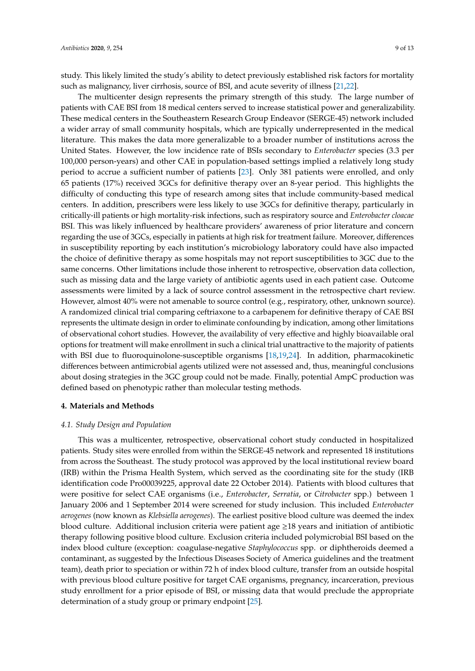study. This likely limited the study's ability to detect previously established risk factors for mortality such as malignancy, liver cirrhosis, source of BSI, and acute severity of illness [\[21](#page-14-1)[,22\]](#page-14-2).

The multicenter design represents the primary strength of this study. The large number of patients with CAE BSI from 18 medical centers served to increase statistical power and generalizability. These medical centers in the Southeastern Research Group Endeavor (SERGE-45) network included a wider array of small community hospitals, which are typically underrepresented in the medical literature. This makes the data more generalizable to a broader number of institutions across the United States. However, the low incidence rate of BSIs secondary to *Enterobacter* species (3.3 per 100,000 person-years) and other CAE in population-based settings implied a relatively long study period to accrue a sufficient number of patients [\[23\]](#page-14-3). Only 381 patients were enrolled, and only 65 patients (17%) received 3GCs for definitive therapy over an 8-year period. This highlights the difficulty of conducting this type of research among sites that include community-based medical centers. In addition, prescribers were less likely to use 3GCs for definitive therapy, particularly in critically-ill patients or high mortality-risk infections, such as respiratory source and *Enterobacter cloacae* BSI. This was likely influenced by healthcare providers' awareness of prior literature and concern regarding the use of 3GCs, especially in patients at high risk for treatment failure. Moreover, differences in susceptibility reporting by each institution's microbiology laboratory could have also impacted the choice of definitive therapy as some hospitals may not report susceptibilities to 3GC due to the same concerns. Other limitations include those inherent to retrospective, observation data collection, such as missing data and the large variety of antibiotic agents used in each patient case. Outcome assessments were limited by a lack of source control assessment in the retrospective chart review. However, almost 40% were not amenable to source control (e.g., respiratory, other, unknown source). A randomized clinical trial comparing ceftriaxone to a carbapenem for definitive therapy of CAE BSI represents the ultimate design in order to eliminate confounding by indication, among other limitations of observational cohort studies. However, the availability of very effective and highly bioavailable oral options for treatment will make enrollment in such a clinical trial unattractive to the majority of patients with BSI due to fluoroquinolone-susceptible organisms [\[18](#page-13-11)[,19](#page-13-12)[,24\]](#page-14-4). In addition, pharmacokinetic differences between antimicrobial agents utilized were not assessed and, thus, meaningful conclusions about dosing strategies in the 3GC group could not be made. Finally, potential AmpC production was defined based on phenotypic rather than molecular testing methods.

## **4. Materials and Methods**

### *4.1. Study Design and Population*

This was a multicenter, retrospective, observational cohort study conducted in hospitalized patients. Study sites were enrolled from within the SERGE-45 network and represented 18 institutions from across the Southeast. The study protocol was approved by the local institutional review board (IRB) within the Prisma Health System, which served as the coordinating site for the study (IRB identification code Pro00039225, approval date 22 October 2014). Patients with blood cultures that were positive for select CAE organisms (i.e., *Enterobacter*, *Serratia*, or *Citrobacter* spp.) between 1 January 2006 and 1 September 2014 were screened for study inclusion. This included *Enterobacter aerogenes* (now known as *Klebsiella aerogenes*). The earliest positive blood culture was deemed the index blood culture. Additional inclusion criteria were patient age ≥18 years and initiation of antibiotic therapy following positive blood culture. Exclusion criteria included polymicrobial BSI based on the index blood culture (exception: coagulase-negative *Staphylococcus* spp. or diphtheroids deemed a contaminant, as suggested by the Infectious Diseases Society of America guidelines and the treatment team), death prior to speciation or within 72 h of index blood culture, transfer from an outside hospital with previous blood culture positive for target CAE organisms, pregnancy, incarceration, previous study enrollment for a prior episode of BSI, or missing data that would preclude the appropriate determination of a study group or primary endpoint [\[25\]](#page-14-5).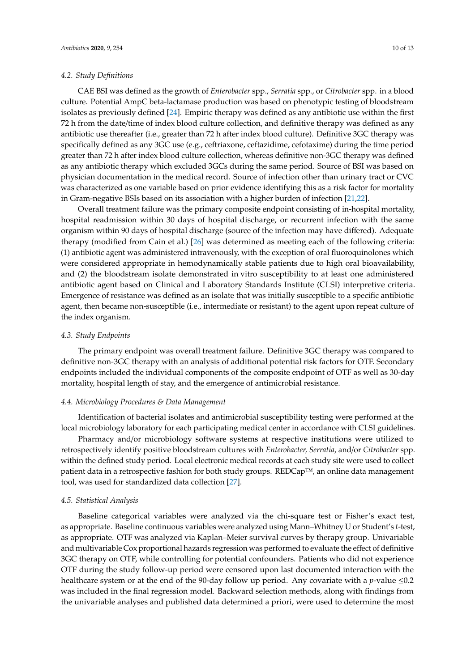### *4.2. Study Definitions*

CAE BSI was defined as the growth of *Enterobacter* spp., *Serratia* spp., or *Citrobacter* spp. in a blood culture. Potential AmpC beta-lactamase production was based on phenotypic testing of bloodstream isolates as previously defined [\[24\]](#page-14-4). Empiric therapy was defined as any antibiotic use within the first 72 h from the date/time of index blood culture collection, and definitive therapy was defined as any antibiotic use thereafter (i.e., greater than 72 h after index blood culture). Definitive 3GC therapy was specifically defined as any 3GC use (e.g., ceftriaxone, ceftazidime, cefotaxime) during the time period greater than 72 h after index blood culture collection, whereas definitive non-3GC therapy was defined as any antibiotic therapy which excluded 3GCs during the same period. Source of BSI was based on physician documentation in the medical record. Source of infection other than urinary tract or CVC was characterized as one variable based on prior evidence identifying this as a risk factor for mortality in Gram-negative BSIs based on its association with a higher burden of infection [\[21,](#page-14-1)[22\]](#page-14-2).

Overall treatment failure was the primary composite endpoint consisting of in-hospital mortality, hospital readmission within 30 days of hospital discharge, or recurrent infection with the same organism within 90 days of hospital discharge (source of the infection may have differed). Adequate therapy (modified from Cain et al.) [\[26\]](#page-14-6) was determined as meeting each of the following criteria: (1) antibiotic agent was administered intravenously, with the exception of oral fluoroquinolones which were considered appropriate in hemodynamically stable patients due to high oral bioavailability, and (2) the bloodstream isolate demonstrated in vitro susceptibility to at least one administered antibiotic agent based on Clinical and Laboratory Standards Institute (CLSI) interpretive criteria. Emergence of resistance was defined as an isolate that was initially susceptible to a specific antibiotic agent, then became non-susceptible (i.e., intermediate or resistant) to the agent upon repeat culture of the index organism.

## *4.3. Study Endpoints*

The primary endpoint was overall treatment failure. Definitive 3GC therapy was compared to definitive non-3GC therapy with an analysis of additional potential risk factors for OTF. Secondary endpoints included the individual components of the composite endpoint of OTF as well as 30-day mortality, hospital length of stay, and the emergence of antimicrobial resistance.

### *4.4. Microbiology Procedures & Data Management*

Identification of bacterial isolates and antimicrobial susceptibility testing were performed at the local microbiology laboratory for each participating medical center in accordance with CLSI guidelines.

Pharmacy and/or microbiology software systems at respective institutions were utilized to retrospectively identify positive bloodstream cultures with *Enterobacter, Serratia*, and/or *Citrobacter* spp. within the defined study period. Local electronic medical records at each study site were used to collect patient data in a retrospective fashion for both study groups. REDCap™, an online data management tool, was used for standardized data collection [\[27\]](#page-14-7).

## *4.5. Statistical Analysis*

Baseline categorical variables were analyzed via the chi-square test or Fisher's exact test, as appropriate. Baseline continuous variables were analyzed using Mann–Whitney U or Student's *t*-test, as appropriate. OTF was analyzed via Kaplan–Meier survival curves by therapy group. Univariable and multivariable Cox proportional hazards regression was performed to evaluate the effect of definitive 3GC therapy on OTF, while controlling for potential confounders. Patients who did not experience OTF during the study follow-up period were censored upon last documented interaction with the healthcare system or at the end of the 90-day follow up period. Any covariate with a *p*-value ≤0.2 was included in the final regression model. Backward selection methods, along with findings from the univariable analyses and published data determined a priori, were used to determine the most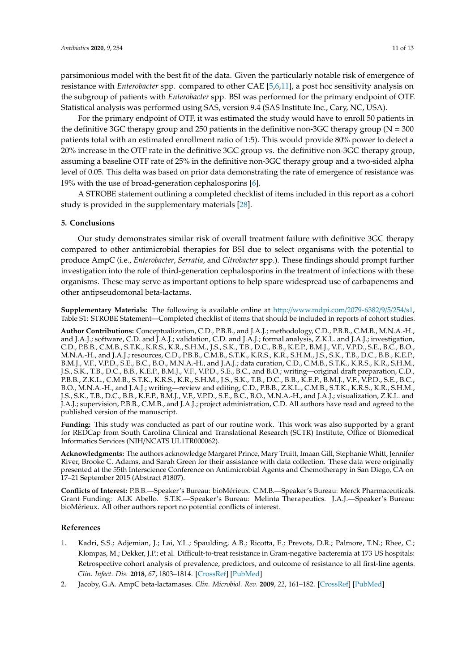parsimonious model with the best fit of the data. Given the particularly notable risk of emergence of resistance with *Enterobacter* spp. compared to other CAE [\[5](#page-13-2)[,6](#page-13-13)[,11\]](#page-13-5), a post hoc sensitivity analysis on the subgroup of patients with *Enterobacter* spp. BSI was performed for the primary endpoint of OTF. Statistical analysis was performed using SAS, version 9.4 (SAS Institute Inc., Cary, NC, USA).

For the primary endpoint of OTF, it was estimated the study would have to enroll 50 patients in the definitive 3GC therapy group and 250 patients in the definitive non-3GC therapy group ( $N = 300$ ) patients total with an estimated enrollment ratio of 1:5). This would provide 80% power to detect a 20% increase in the OTF rate in the definitive 3GC group vs. the definitive non-3GC therapy group, assuming a baseline OTF rate of 25% in the definitive non-3GC therapy group and a two-sided alpha level of 0.05. This delta was based on prior data demonstrating the rate of emergence of resistance was 19% with the use of broad-generation cephalosporins [\[6\]](#page-13-13).

A STROBE statement outlining a completed checklist of items included in this report as a cohort study is provided in the supplementary materials [\[28\]](#page-14-8).

## **5. Conclusions**

Our study demonstrates similar risk of overall treatment failure with definitive 3GC therapy compared to other antimicrobial therapies for BSI due to select organisms with the potential to produce AmpC (i.e., *Enterobacter*, *Serratia*, and *Citrobacter* spp.). These findings should prompt further investigation into the role of third-generation cephalosporins in the treatment of infections with these organisms. These may serve as important options to help spare widespread use of carbapenems and other antipseudomonal beta-lactams.

**Supplementary Materials:** The following is available online at http://[www.mdpi.com](http://www.mdpi.com/2079-6382/9/5/254/s1)/2079-6382/9/5/254/s1, Table S1: STROBE Statement—Completed checklist of items that should be included in reports of cohort studies.

**Author Contributions:** Conceptualization, C.D., P.B.B., and J.A.J.; methodology, C.D., P.B.B., C.M.B., M.N.A.-H., and J.A.J.; software, C.D. and J.A.J.; validation, C.D. and J.A.J.; formal analysis, Z.K.L. and J.A.J.; investigation, C.D., P.B.B., C.M.B., S.T.K., K.R.S., K.R., S.H.M., J.S., S.K., T.B., D.C., B.B., K.E.P., B.M.J., V.F., V.P.D., S.E., B.C., B.O., M.N.A.-H., and J.A.J.; resources, C.D., P.B.B., C.M.B., S.T.K., K.R.S., K.R., S.H.M., J.S., S.K., T.B., D.C., B.B., K.E.P., B.M.J., V.F., V.P.D., S.E., B.C., B.O., M.N.A.-H., and J.A.J.; data curation, C.D., C.M.B., S.T.K., K.R.S., K.R., S.H.M., J.S., S.K., T.B., D.C., B.B., K.E.P., B.M.J., V.F., V.P.D., S.E., B.C., and B.O.; writing—original draft preparation, C.D., P.B.B., Z.K.L., C.M.B., S.T.K., K.R.S., K.R., S.H.M., J.S., S.K., T.B., D.C., B.B., K.E.P., B.M.J., V.F., V.P.D., S.E., B.C., B.O., M.N.A.-H., and J.A.J.; writing—review and editing, C.D., P.B.B., Z.K.L., C.M.B., S.T.K., K.R.S., K.R., S.H.M., J.S., S.K., T.B., D.C., B.B., K.E.P., B.M.J., V.F., V.P.D., S.E., B.C., B.O., M.N.A.-H., and J.A.J.; visualization, Z.K.L. and J.A.J.; supervision, P.B.B., C.M.B., and J.A.J.; project administration, C.D. All authors have read and agreed to the published version of the manuscript.

**Funding:** This study was conducted as part of our routine work. This work was also supported by a grant for REDCap from South Carolina Clinical and Translational Research (SCTR) Institute, Office of Biomedical Informatics Services (NIH/NCATS UL1TR000062).

**Acknowledgments:** The authors acknowledge Margaret Prince, Mary Truitt, Imaan Gill, Stephanie Whitt, Jennifer River, Brooke C. Adams, and Sarah Green for their assistance with data collection. These data were originally presented at the 55th Interscience Conference on Antimicrobial Agents and Chemotherapy in San Diego, CA on 17–21 September 2015 (Abstract #1807).

**Conflicts of Interest:** P.B.B.—Speaker's Bureau: bioMérieux. C.M.B.—Speaker's Bureau: Merck Pharmaceuticals. Grant Funding: ALK Abello. S.T.K.—Speaker's Bureau: Melinta Therapeutics. J.A.J.—Speaker's Bureau: bioMérieux. All other authors report no potential conflicts of interest.

### **References**

- <span id="page-12-0"></span>1. Kadri, S.S.; Adjemian, J.; Lai, Y.L.; Spaulding, A.B.; Ricotta, E.; Prevots, D.R.; Palmore, T.N.; Rhee, C.; Klompas, M.; Dekker, J.P.; et al. Difficult-to-treat resistance in Gram-negative bacteremia at 173 US hospitals: Retrospective cohort analysis of prevalence, predictors, and outcome of resistance to all first-line agents. *Clin. Infect. Dis.* **2018**, *67*, 1803–1814. [\[CrossRef\]](http://dx.doi.org/10.1093/cid/ciy378) [\[PubMed\]](http://www.ncbi.nlm.nih.gov/pubmed/30052813)
- <span id="page-12-1"></span>2. Jacoby, G.A. AmpC beta-lactamases. *Clin. Microbiol. Rev.* **2009**, *22*, 161–182. [\[CrossRef\]](http://dx.doi.org/10.1128/CMR.00036-08) [\[PubMed\]](http://www.ncbi.nlm.nih.gov/pubmed/19136439)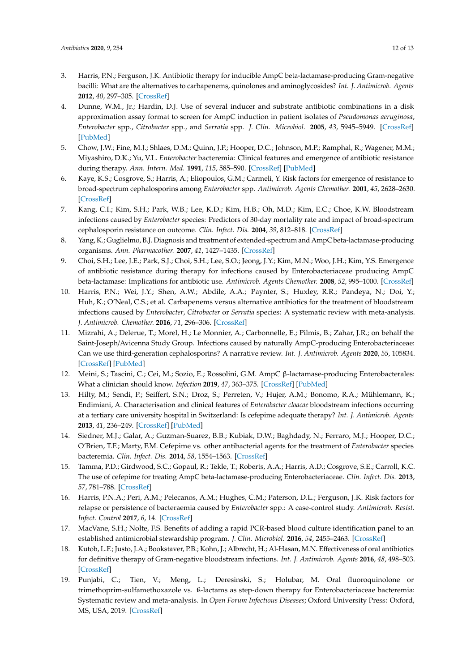- <span id="page-13-0"></span>3. Harris, P.N.; Ferguson, J.K. Antibiotic therapy for inducible AmpC beta-lactamase-producing Gram-negative bacilli: What are the alternatives to carbapenems, quinolones and aminoglycosides? *Int. J. Antimicrob. Agents* **2012**, *40*, 297–305. [\[CrossRef\]](http://dx.doi.org/10.1016/j.ijantimicag.2012.06.004)
- <span id="page-13-1"></span>4. Dunne, W.M., Jr.; Hardin, D.J. Use of several inducer and substrate antibiotic combinations in a disk approximation assay format to screen for AmpC induction in patient isolates of *Pseudomonas aeruginosa*, *Enterobacter* spp., *Citrobacter* spp., and *Serratia* spp. *J. Clin. Microbiol.* **2005**, *43*, 5945–5949. [\[CrossRef\]](http://dx.doi.org/10.1128/JCM.43.12.5945-5949.2005) [\[PubMed\]](http://www.ncbi.nlm.nih.gov/pubmed/16333080)
- <span id="page-13-2"></span>5. Chow, J.W.; Fine, M.J.; Shlaes, D.M.; Quinn, J.P.; Hooper, D.C.; Johnson, M.P.; Ramphal, R.; Wagener, M.M.; Miyashiro, D.K.; Yu, V.L. *Enterobacter* bacteremia: Clinical features and emergence of antibiotic resistance during therapy. *Ann. Intern. Med.* **1991**, *115*, 585–590. [\[CrossRef\]](http://dx.doi.org/10.7326/0003-4819-115-8-585) [\[PubMed\]](http://www.ncbi.nlm.nih.gov/pubmed/1892329)
- <span id="page-13-13"></span>6. Kaye, K.S.; Cosgrove, S.; Harris, A.; Eliopoulos, G.M.; Carmeli, Y. Risk factors for emergence of resistance to broad-spectrum cephalosporins among *Enterobacter* spp. *Antimicrob. Agents Chemother.* **2001**, *45*, 2628–2630. [\[CrossRef\]](http://dx.doi.org/10.1128/AAC.45.9.2628-2630.2001)
- 7. Kang, C.I.; Kim, S.H.; Park, W.B.; Lee, K.D.; Kim, H.B.; Oh, M.D.; Kim, E.C.; Choe, K.W. Bloodstream infections caused by *Enterobacter* species: Predictors of 30-day mortality rate and impact of broad-spectrum cephalosporin resistance on outcome. *Clin. Infect. Dis.* **2004**, *39*, 812–818. [\[CrossRef\]](http://dx.doi.org/10.1086/423382)
- 8. Yang, K.; Guglielmo, B.J. Diagnosis and treatment of extended-spectrum and AmpC beta-lactamase-producing organisms. *Ann. Pharmacother.* **2007**, *41*, 1427–1435. [\[CrossRef\]](http://dx.doi.org/10.1345/aph.1K213)
- <span id="page-13-3"></span>9. Choi, S.H.; Lee, J.E.; Park, S.J.; Choi, S.H.; Lee, S.O.; Jeong, J.Y.; Kim, M.N.; Woo, J.H.; Kim, Y.S. Emergence of antibiotic resistance during therapy for infections caused by Enterobacteriaceae producing AmpC beta-lactamase: Implications for antibiotic use. *Antimicrob. Agents Chemother.* **2008**, *52*, 995–1000. [\[CrossRef\]](http://dx.doi.org/10.1128/AAC.01083-07)
- <span id="page-13-4"></span>10. Harris, P.N.; Wei, J.Y.; Shen, A.W.; Abdile, A.A.; Paynter, S.; Huxley, R.R.; Pandeya, N.; Doi, Y.; Huh, K.; O'Neal, C.S.; et al. Carbapenems versus alternative antibiotics for the treatment of bloodstream infections caused by *Enterobacter*, *Citrobacter* or *Serratia* species: A systematic review with meta-analysis. *J. Antimicrob. Chemother.* **2016**, *71*, 296–306. [\[CrossRef\]](http://dx.doi.org/10.1093/jac/dkv346)
- <span id="page-13-5"></span>11. Mizrahi, A.; Delerue, T.; Morel, H.; Le Monnier, A.; Carbonnelle, E.; Pilmis, B.; Zahar, J.R.; on behalf the Saint-Joseph/Avicenna Study Group. Infections caused by naturally AmpC-producing Enterobacteriaceae: Can we use third-generation cephalosporins? A narrative review. *Int. J. Antimicrob. Agents* **2020**, *55*, 105834. [\[CrossRef\]](http://dx.doi.org/10.1016/j.ijantimicag.2019.10.015) [\[PubMed\]](http://www.ncbi.nlm.nih.gov/pubmed/31682902)
- <span id="page-13-6"></span>12. Meini, S.; Tascini, C.; Cei, M.; Sozio, E.; Rossolini, G.M. AmpC β-lactamase-producing Enterobacterales: What a clinician should know. *Infection* **2019**, *47*, 363–375. [\[CrossRef\]](http://dx.doi.org/10.1007/s15010-019-01291-9) [\[PubMed\]](http://www.ncbi.nlm.nih.gov/pubmed/30840201)
- <span id="page-13-7"></span>13. Hilty, M.; Sendi, P.; Seiffert, S.N.; Droz, S.; Perreten, V.; Hujer, A.M.; Bonomo, R.A.; Mühlemann, K.; Endimiani, A. Characterisation and clinical features of *Enterobacter cloacae* bloodstream infections occurring at a tertiary care university hospital in Switzerland: Is cefepime adequate therapy? *Int. J. Antimicrob. Agents* **2013**, *41*, 236–249. [\[CrossRef\]](http://dx.doi.org/10.1016/j.ijantimicag.2012.10.022) [\[PubMed\]](http://www.ncbi.nlm.nih.gov/pubmed/23313399)
- 14. Siedner, M.J.; Galar, A.; Guzman-Suarez, B.B.; Kubiak, D.W.; Baghdady, N.; Ferraro, M.J.; Hooper, D.C.; O'Brien, T.F.; Marty, F.M. Cefepime vs. other antibacterial agents for the treatment of *Enterobacter* species bacteremia. *Clin. Infect. Dis.* **2014**, *58*, 1554–1563. [\[CrossRef\]](http://dx.doi.org/10.1093/cid/ciu182)
- <span id="page-13-8"></span>15. Tamma, P.D.; Girdwood, S.C.; Gopaul, R.; Tekle, T.; Roberts, A.A.; Harris, A.D.; Cosgrove, S.E.; Carroll, K.C. The use of cefepime for treating AmpC beta-lactamase-producing Enterobacteriaceae. *Clin. Infect. Dis.* **2013**, *57*, 781–788. [\[CrossRef\]](http://dx.doi.org/10.1093/cid/cit395)
- <span id="page-13-9"></span>16. Harris, P.N.A.; Peri, A.M.; Pelecanos, A.M.; Hughes, C.M.; Paterson, D.L.; Ferguson, J.K. Risk factors for relapse or persistence of bacteraemia caused by *Enterobacter* spp.: A case-control study. *Antimicrob. Resist. Infect. Control* **2017**, *6*, 14. [\[CrossRef\]](http://dx.doi.org/10.1186/s13756-017-0177-0)
- <span id="page-13-10"></span>17. MacVane, S.H.; Nolte, F.S. Benefits of adding a rapid PCR-based blood culture identification panel to an established antimicrobial stewardship program. *J. Clin. Microbiol.* **2016**, *54*, 2455–2463. [\[CrossRef\]](http://dx.doi.org/10.1128/JCM.00996-16)
- <span id="page-13-11"></span>18. Kutob, L.F.; Justo, J.A.; Bookstaver, P.B.; Kohn, J.; Albrecht, H.; Al-Hasan, M.N. Effectiveness of oral antibiotics for definitive therapy of Gram-negative bloodstream infections. *Int. J. Antimicrob. Agents* **2016**, *48*, 498–503. [\[CrossRef\]](http://dx.doi.org/10.1016/j.ijantimicag.2016.07.013)
- <span id="page-13-12"></span>19. Punjabi, C.; Tien, V.; Meng, L.; Deresinski, S.; Holubar, M. Oral fluoroquinolone or trimethoprim-sulfamethoxazole vs. ß-lactams as step-down therapy for Enterobacteriaceae bacteremia: Systematic review and meta-analysis. In *Open Forum Infectious Diseases*; Oxford University Press: Oxford, MS, USA, 2019. [\[CrossRef\]](http://dx.doi.org/10.1093/ofid/ofz364)